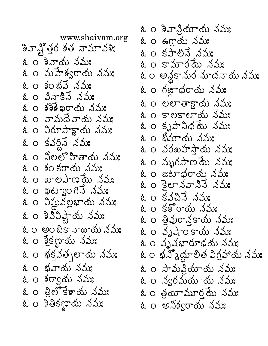$$
33.7\frac{1}{4}
$$

$$
\&
$$
 2 0 \n $\&$  2 0 \n $\&$  2 0 \n $\&$  2 0 \n $\&$  2 0 \n $\&$  2 0 \n $\&$  2 0 \n $\&$  2 0 \n $\&$  2 0 \n $\&$  2 0 \n $\&$  2 0 \n $\&$  2 0 \n $\&$  2 0 \n $\&$  2 0 \n $\&$  2 0 \n $\&$  2 0 \n $\&$  2 0 \n $\&$  2 0 \n $\&$  2 0 \n $\&$  2 0 \n $\&$  2 0 \n $\&$  2 0 \n $\&$  2 0 \n $\&$  2 0 \n $\&$  2 0 \n $\&$  2 0 \n $\&$  2 0 \n $\&$  2 0 \n $\&$  2 0 \n $\&$  2 0 \n $\&$  2 0 \n $\&$  2 0 \n $\&$  2 0 \n $\&$  2 0 \n $\&$  2 0 \n $\&$  2 0 \n $\&$  2 0 \n $\&$  2 0 \n $\&$  2 0 \n $\&$  2 0 \n $\&$  2 0 \n $\&$  2 0 \n $\&$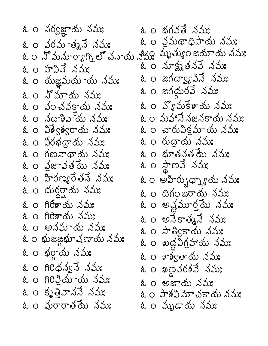ఓ ౦ భగవతే నమః ఓ ౦నర్వజ్ఞాయ నమః ఓం వ్రమథాధిపాయ నమః ఓం వరమాత్మనే నమః ఓం నోమనూర్యాగ్నిలో చనాయ శీక్ష్య మృత్యుంజయాయ నమ్మ ఓ 0 నూక్ష్మతనవే నమ్మ ఓ 0 హవివే నమ: ఓ ౦ జగద్వ్యా వినే నమః ఓం యజ్ఞమయాయ నమః ఓం జగద్దురవే నమః ఓ 0 న్నూయ నమ్మ ఓం వ్యోమకేశాయ నమః ఓ 0 ఎంచవకాయ నమ: ఓ ౦మహానే నజనకాయ నమః ఓ ౦ నదాశివాయ నమః ఓం విశ్వేశ్వరాయ నమః ఓ ౦ చారువిక్రమాయ నమః ఓ ౦ రుద్రాయ నమః ఓం విరభద్రాయ నమః ఓ o గణనాథాయ నమ: ఓ 0 భూతవతమే నమ్మ ఓ ౦ నౖజావతమే నమః ఓ ౦ స్థాణవే నమః ఓం హిరణ్యరేతనే నమ్య ఓ ౦ అహిర్భుధ్నాన్న నమః ఓ ౦ దుర్ధర్షామ నమః ఓం దిగంబరాయ నమః ఓ o గిరీశాయ నమ: ఓం అవ్షమూర్తమే నమః ఓ o గిరిశాయ నమ: ఓ ౦ అనేకాత్మనే నమః ఓ ౦ అనమాయ నమః ఓ 0 సార్వికాయ నమ్మ:  $\alpha$  ဝ ಋಜఙ္ကಋ $\measuredangle$ ပောတ်၊  $\measuredangle$ သဴး ఓ ౦ ఖద్దవిగ్రహాయ నమః ఓం భర్గాయ నమః ఓ 0 శాశ్వతాయ నమ్మ ఓ 0 గిరిధన్వనే నమ్మ ఓం ఖణవరశవే నమః ఓ 0 గిరిన్జియాయ నమ**:** ఓ o అజాయ నమ్మ ఓం కృత్తివాననే నమః ఓ ౦ పాశవిమోచకాయ నమః ఓ ౦ వురారాత్రమే నమః ఓం మృడాయ నమ్మ